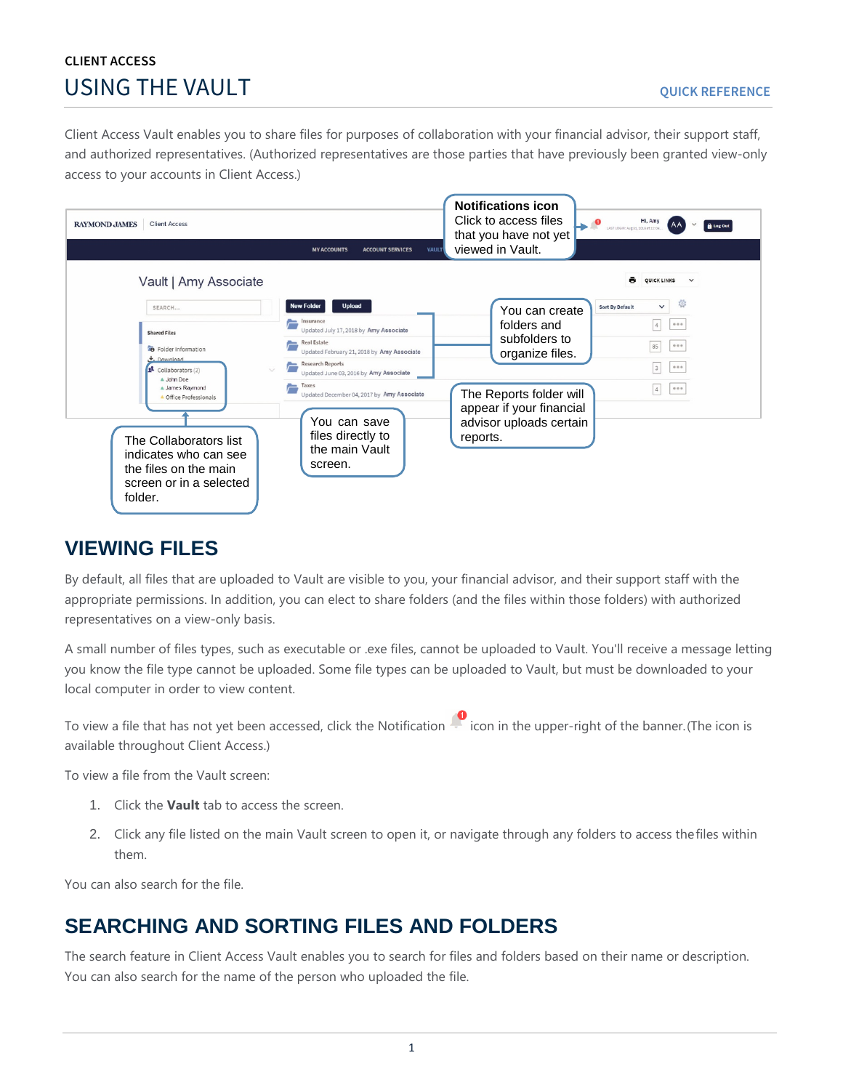# **CLIENT ACCESS USING THE VAULT And SET ALCOHOLOGICAL CONTRACT ON A SUITE OUICK REFERENCE**

Client Access Vault enables you to share files for purposes of collaboration with your financial advisor, their support staff, and authorized representatives. (Authorized representatives are those parties that have previously been granted view-only access to your accounts in Client Access.)



## **VIEWING FILES**

By default, all files that are uploaded to Vault are visible to you, your financial advisor, and their support staff with the appropriate permissions. In addition, you can elect to share folders (and the files within those folders) with authorized representatives on a view-only basis.

A small number of files types, such as executable or .exe files, cannot be uploaded to Vault. You'll receive a message letting you know the file type cannot be uploaded. Some file types can be uploaded to Vault, but must be downloaded to your local computer in order to view content.

To view a file that has not yet been accessed, click the Notification in the upper-right of the banner. (The icon is available throughout Client Access.)

To view a file from the Vault screen:

- 1. Click the **Vault** tab to access the screen.
- 2. Click any file listed on the main Vault screen to open it, or navigate through any folders to access thefiles within them.

You can also search for the file.

# **SEARCHING AND SORTING FILES AND FOLDERS**

The search feature in Client Access Vault enables you to search for files and folders based on their name or description. You can also search for the name of the person who uploaded the file.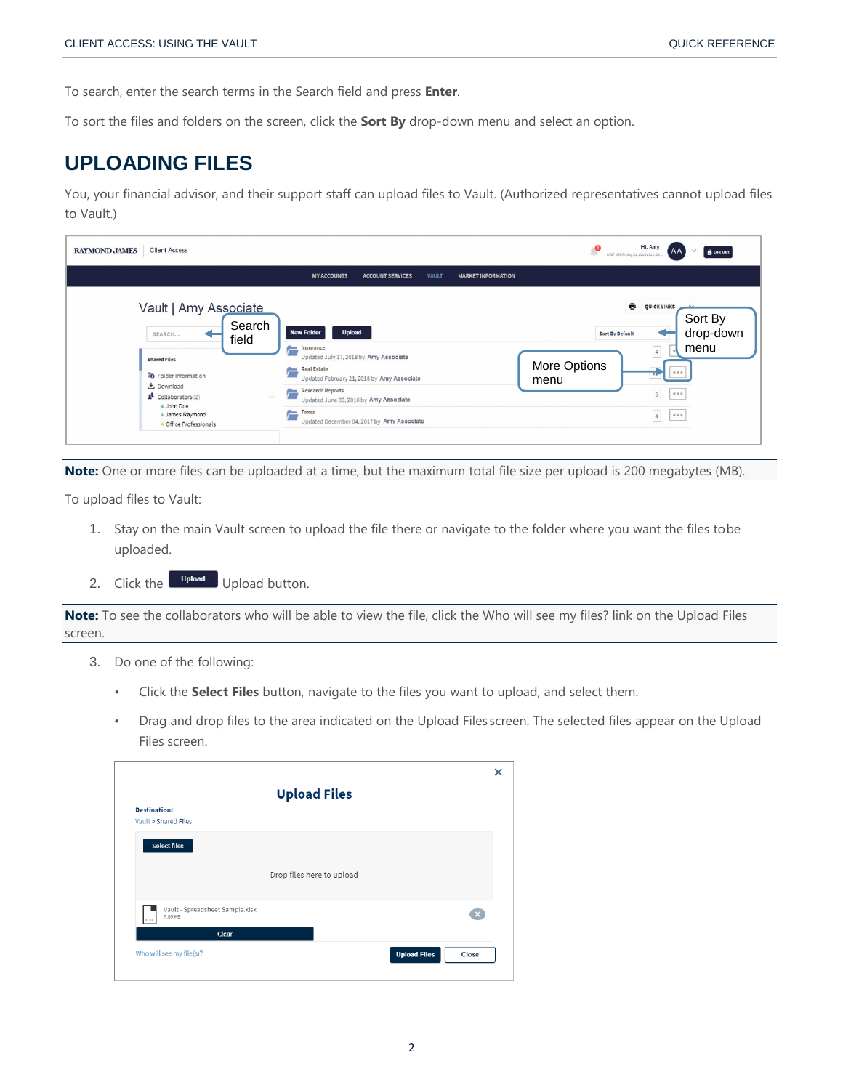To search, enter the search terms in the Search field and press **Enter**.

To sort the files and folders on the screen, click the **Sort By** drop-down menu and select an option.

## **UPLOADING FILES**

You, your financial advisor, and their support staff can upload files to Vault. (Authorized representatives cannot upload files to Vault.)

| <b>RAYMOND JAMES</b><br><b>Client Access</b>                                                                                                                                                                                  |                                                                                                                                                                                                                                                                                                                                                    | Hi, Amy<br><b>A</b> Log Out<br>-An<br>AJC<br>LAST LOGIN: Aug 31, 2018 et 12:06                                                                             |
|-------------------------------------------------------------------------------------------------------------------------------------------------------------------------------------------------------------------------------|----------------------------------------------------------------------------------------------------------------------------------------------------------------------------------------------------------------------------------------------------------------------------------------------------------------------------------------------------|------------------------------------------------------------------------------------------------------------------------------------------------------------|
|                                                                                                                                                                                                                               | <b>MY ACCOUNTS</b><br><b>ACCOUNT SERVICES</b><br><b>VAULT</b><br><b>MARKET INFORMATION</b>                                                                                                                                                                                                                                                         |                                                                                                                                                            |
| Vault   Amy Associate<br>Search<br>SEARCH<br>field<br><b>Shared Files</b><br><b>B</b> Folder Information<br>也 Download<br>$\mathbf{I}$ Collaborators (2)<br>$\sim$<br>A John Doe<br>A James Raymond<br>A Office Professionals | <b>Upload</b><br><b>New Folder</b><br>$\equiv$<br>Insurance<br>Updated July 17, 2018 by Amy Associate<br><b>Real Estate</b><br>=<br>Updated February 21, 2018 by Amy Associate<br><b>Research Reports</b><br>$\overline{\phantom{a}}$<br>Updated June 03, 2016 by Amy Associate<br>Taxes<br>$\equiv$<br>Updated December 04, 2017 by Amy Associate | ē<br>QUICK LINKS<br>Sort By<br>drop-down<br>Sort By Default<br>menu<br>$\vert$ 4<br>More Options<br>0.0.0<br>menu<br>3<br>0.0.0<br>0.0.0<br>$\overline{4}$ |

**Note:** One or more files can be uploaded at a time, but the maximum total file size per upload is 200 megabytes (MB).

To upload files to Vault:

- 1. Stay on the main Vault screen to upload the file there or navigate to the folder where you want the files tobe uploaded.
- 2. Click the  $\Box$  Upload button.

**Note:** To see the collaborators who will be able to view the file, click the Who will see my files? link on the Upload Files screen.

- 3. Do one of the following:
	- Click the **Select Files** button, navigate to the files you want to upload, and select them.
	- Drag and drop files to the area indicated on the Upload Files screen. The selected files appear on the Upload Files screen.

|                                                    | <b>Upload Files</b>       |                              |
|----------------------------------------------------|---------------------------|------------------------------|
| <b>Destination:</b><br>Vault » Shared Files        |                           |                              |
| <b>Select files</b>                                |                           |                              |
|                                                    | Drop files here to upload |                              |
| Vault - Spreadsheet Sample.xlsx<br>7.89 KB<br>XLSX |                           |                              |
| Clear                                              |                           |                              |
| Who will see my file(s)?                           |                           | <b>Upload Files</b><br>Close |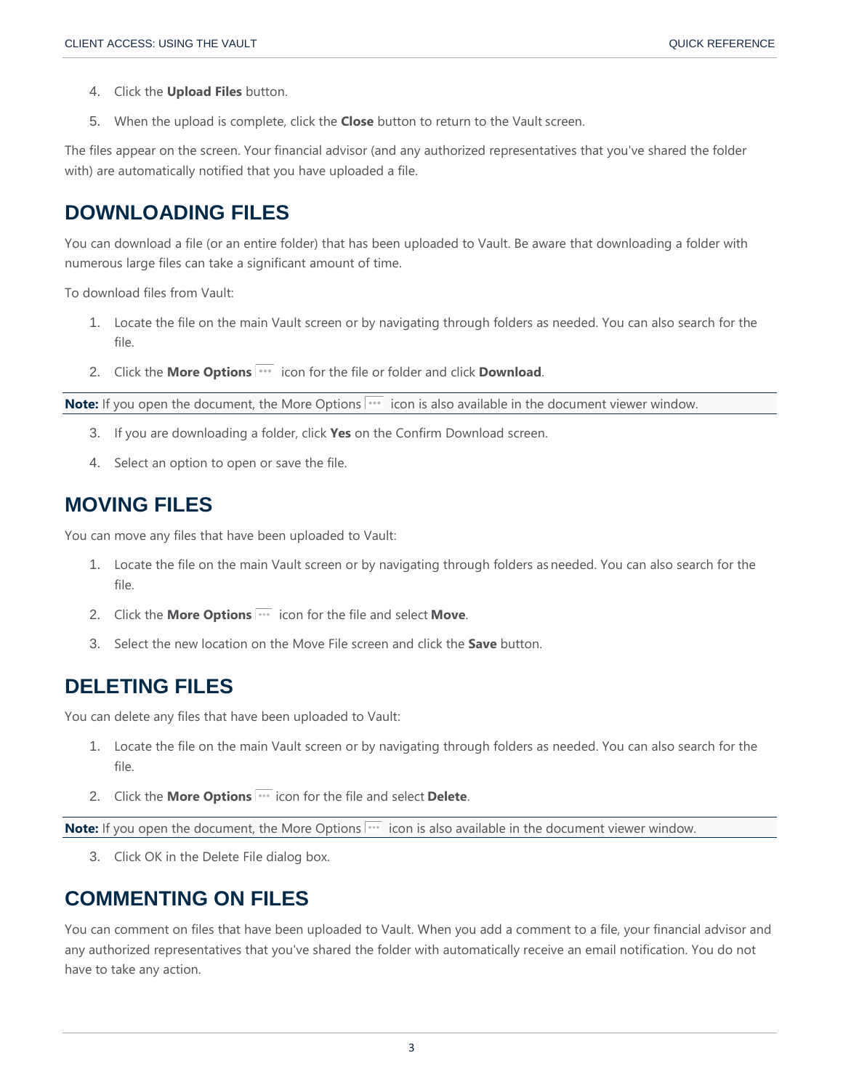- 4. Click the **Upload Files** button.
- 5. When the upload is complete, click the **Close** button to return to the Vault screen.

The files appear on the screen. Your financial advisor (and any authorized representatives that you've shared the folder with) are automatically notified that you have uploaded a file.

### **DOWNLOADING FILES**

You can download a file (or an entire folder) that has been uploaded to Vault. Be aware that downloading a folder with numerous large files can take a significant amount of time.

To download files from Vault:

- 1. Locate the file on the main Vault screen or by navigating through folders as needed. You can also search for the file.
- 2. Click the **More Options in the file of the file or folder and click Download.**

**Note:** If you open the document, the More Options **incluent** is also available in the document viewer window.

- 3. If you are downloading a folder, click **Yes** on the Confirm Download screen.
- 4. Select an option to open or save the file.

### **MOVING FILES**

You can move any files that have been uploaded to Vault:

- 1. Locate the file on the main Vault screen or by navigating through folders as needed. You can also search for the file.
- 2. Click the **More Options idea** icon for the file and select **Move**.
- 3. Select the new location on the Move File screen and click the **Save** button.

## **DELETING FILES**

You can delete any files that have been uploaded to Vault:

- 1. Locate the file on the main Vault screen or by navigating through folders as needed. You can also search for the file.
- 2. Click the **More Options** icon for the file and select **Delete**.

Note: If you open the document, the More Options<sup>111</sup> icon is also available in the document viewer window.

3. Click OK in the Delete File dialog box.

### **COMMENTING ON FILES**

You can comment on files that have been uploaded to Vault. When you add a comment to a file, your financial advisor and any authorized representatives that you've shared the folder with automatically receive an email notification. You do not have to take any action.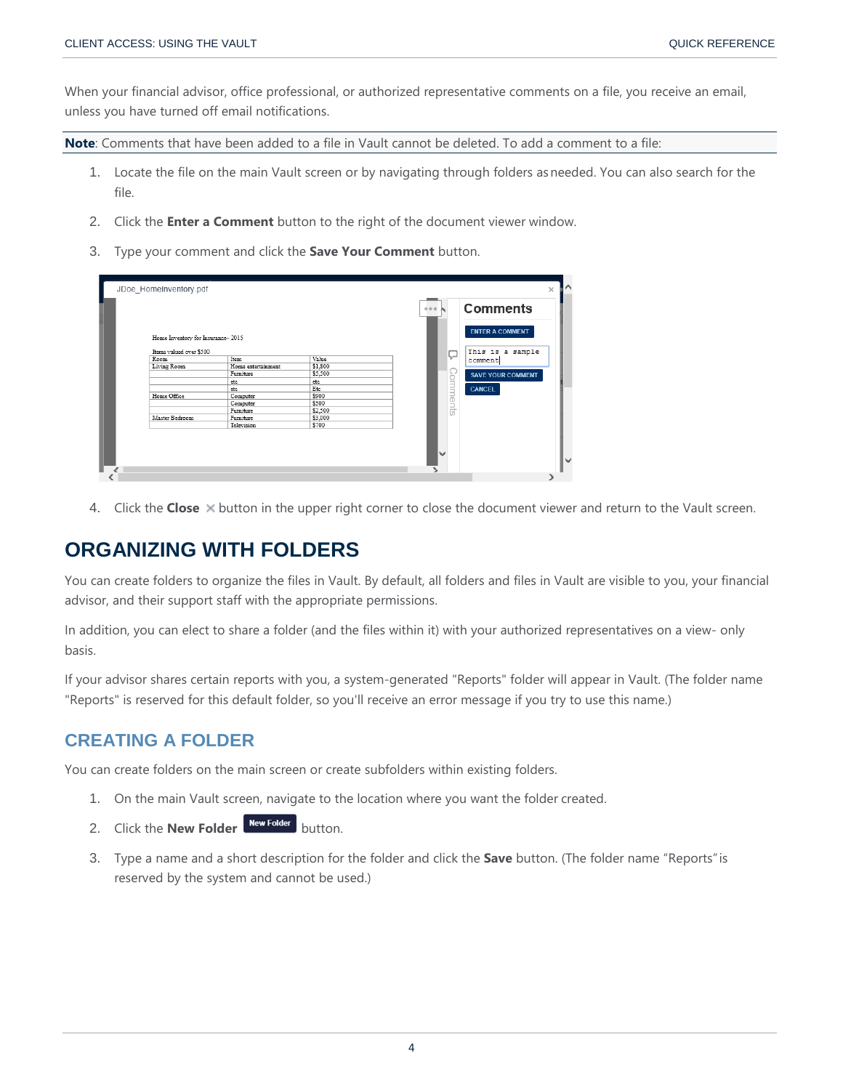When your financial advisor, office professional, or authorized representative comments on a file, you receive an email, unless you have turned off email notifications.

**Note**: Comments that have been added to a file in Vault cannot be deleted. To add a comment to a file:

- 1. Locate the file on the main Vault screen or by navigating through folders asneeded. You can also search for the file.
- 2. Click the **Enter a Comment** button to the right of the document viewer window.
- 3. Type your comment and click the **Save Your Comment** button.

| Home Inventory for Insurance-2015 |                    |         |         | <b>ENTER A COMMENT</b>   |
|-----------------------------------|--------------------|---------|---------|--------------------------|
| Items valued over \$500           |                    |         | ↳       | This is a sample         |
| Room                              | Item               | Value   |         | comment                  |
| Living Room                       | Home entertainment | \$1,800 |         |                          |
|                                   | Furniture          | \$5,500 |         | <b>SAVE YOUR COMMENT</b> |
|                                   | etc                | etc     |         |                          |
|                                   | etc                | Etc     |         | <b>CANCEL</b>            |
| Home Office                       | Computer           | \$900   |         |                          |
|                                   | Computer           | \$500   | omments |                          |
|                                   | Furniture          | \$2,500 |         |                          |
| Master Bedroom                    | Furniture          | \$3,000 |         |                          |
|                                   | Television         | \$700   |         |                          |

4. Click the **Close** button in the upper right corner to close the document viewer and return to the Vault screen.

## **ORGANIZING WITH FOLDERS**

You can create folders to organize the files in Vault. By default, all folders and files in Vault are visible to you, your financial advisor, and their support staff with the appropriate permissions.

In addition, you can elect to share a folder (and the files within it) with your authorized representatives on a view- only basis.

If your advisor shares certain reports with you, a system-generated "Reports" folder will appear in Vault. (The folder name "Reports" is reserved for this default folder, so you'll receive an error message if you try to use this name.)

### **CREATING A FOLDER**

You can create folders on the main screen or create subfolders within existing folders.

- 1. On the main Vault screen, navigate to the location where you want the folder created.
- 2. Click the **New Folder** New Folder button.
- 3. Type a name and a short description for the folder and click the **Save** button. (The folder name "Reports"is reserved by the system and cannot be used.)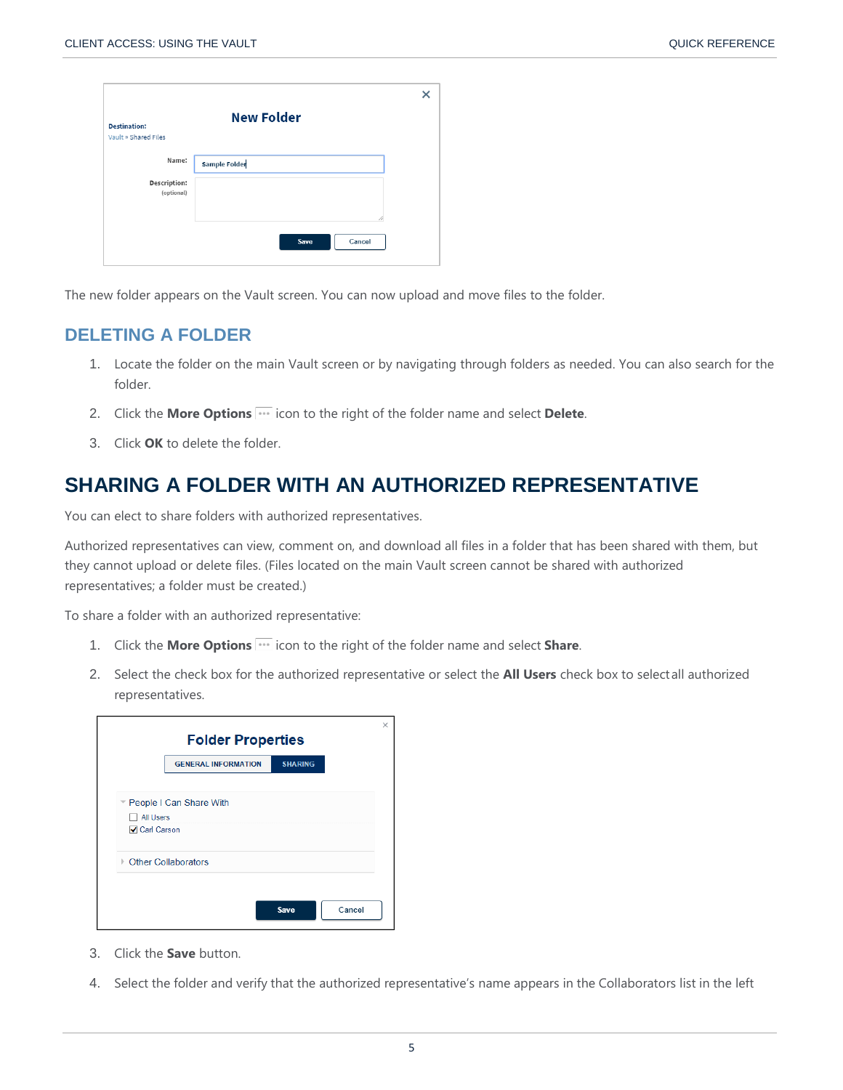| <b>Destination:</b><br>Vault » Shared Files | <b>New Folder</b>    |  |
|---------------------------------------------|----------------------|--|
| Name:                                       | <b>Sample Folder</b> |  |
| <b>Description:</b><br>(optional)           | 11                   |  |
|                                             | Save<br>Cancel       |  |

The new folder appears on the Vault screen. You can now upload and move files to the folder.

### **DELETING A FOLDER**

- 1. Locate the folder on the main Vault screen or by navigating through folders as needed. You can also search for the folder.
- 2. Click the **More Options ignal** icon to the right of the folder name and select Delete.
- 3. Click **OK** to delete the folder.

## **SHARING A FOLDER WITH AN AUTHORIZED REPRESENTATIVE**

You can elect to share folders with authorized representatives.

Authorized representatives can view, comment on, and download all files in a folder that has been shared with them, but they cannot upload or delete files. (Files located on the main Vault screen cannot be shared with authorized representatives; a folder must be created.)

To share a folder with an authorized representative:

- 1. Click the **More Options i.e.** icon to the right of the folder name and select **Share**.
- 2. Select the check box for the authorized representative or select the **All Users** check box to selectall authorized representatives.

|                       | <b>GENERAL INFORMATION</b> | <b>SHARING</b> |  |
|-----------------------|----------------------------|----------------|--|
|                       |                            |                |  |
|                       | People I Can Share With    |                |  |
| All Users             |                            |                |  |
| <b>√</b> Carl Carson  |                            |                |  |
| ▶ Other Collaborators |                            |                |  |
|                       |                            |                |  |

- 3. Click the **Save** button.
- 4. Select the folder and verify that the authorized representative's name appears in the Collaborators list in the left